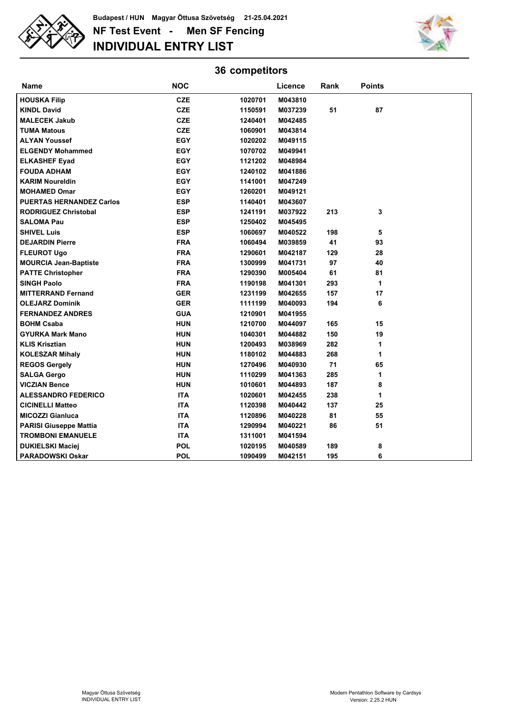

**NF Test Event - Men SF Fencing INDIVIDUAL ENTRY LIST Budapest / HUN Magyar Öttusa Szövetség 21-25.04.2021**



## **36 competitors**

| Name                            | <b>NOC</b> |         | Licence | Rank | <b>Points</b> |  |
|---------------------------------|------------|---------|---------|------|---------------|--|
| <b>HOUSKA Filip</b>             | <b>CZE</b> | 1020701 | M043810 |      |               |  |
| <b>KINDL David</b>              | CZE        | 1150591 | M037239 | 51   | 87            |  |
| <b>MALECEK Jakub</b>            | <b>CZE</b> | 1240401 | M042485 |      |               |  |
| <b>TUMA Matous</b>              | <b>CZE</b> | 1060901 | M043814 |      |               |  |
| <b>ALYAN Youssef</b>            | <b>EGY</b> | 1020202 | M049115 |      |               |  |
| <b>ELGENDY Mohammed</b>         | EGY        | 1070702 | M049941 |      |               |  |
| <b>ELKASHEF Eyad</b>            | <b>EGY</b> | 1121202 | M048984 |      |               |  |
| <b>FOUDA ADHAM</b>              | <b>EGY</b> | 1240102 | M041886 |      |               |  |
| <b>KARIM Noureldin</b>          | EGY        | 1141001 | M047249 |      |               |  |
| <b>MOHAMED Omar</b>             | <b>EGY</b> | 1260201 | M049121 |      |               |  |
| <b>PUERTAS HERNANDEZ Carlos</b> | <b>ESP</b> | 1140401 | M043607 |      |               |  |
| <b>RODRIGUEZ Christobal</b>     | <b>ESP</b> | 1241191 | M037922 | 213  | 3             |  |
| <b>SALOMA Pau</b>               | <b>ESP</b> | 1250402 | M045495 |      |               |  |
| <b>SHIVEL Luis</b>              | <b>ESP</b> | 1060697 | M040522 | 198  | 5             |  |
| <b>DEJARDIN Pierre</b>          | <b>FRA</b> | 1060494 | M039859 | 41   | 93            |  |
| <b>FLEUROT Ugo</b>              | <b>FRA</b> | 1290601 | M042187 | 129  | 28            |  |
| <b>MOURCIA Jean-Baptiste</b>    | <b>FRA</b> | 1300999 | M041731 | 97   | 40            |  |
| <b>PATTE Christopher</b>        | <b>FRA</b> | 1290390 | M005404 | 61   | 81            |  |
| <b>SINGH Paolo</b>              | <b>FRA</b> | 1190198 | M041301 | 293  | 1             |  |
| <b>MITTERRAND Fernand</b>       | <b>GER</b> | 1231199 | M042655 | 157  | 17            |  |
| <b>OLEJARZ Dominik</b>          | <b>GER</b> | 1111199 | M040093 | 194  | 6             |  |
| <b>FERNANDEZ ANDRES</b>         | <b>GUA</b> | 1210901 | M041955 |      |               |  |
| <b>BOHM Csaba</b>               | <b>HUN</b> | 1210700 | M044097 | 165  | 15            |  |
| <b>GYURKA Mark Mano</b>         | <b>HUN</b> | 1040301 | M044882 | 150  | 19            |  |
| <b>KLIS Krisztian</b>           | <b>HUN</b> | 1200493 | M038969 | 282  | 1             |  |
| <b>KOLESZAR Mihaly</b>          | <b>HUN</b> | 1180102 | M044883 | 268  | 1             |  |
| <b>REGOS Gergely</b>            | <b>HUN</b> | 1270496 | M040930 | 71   | 65            |  |
| <b>SALGA Gergo</b>              | <b>HUN</b> | 1110299 | M041363 | 285  | 1             |  |
| <b>VICZIAN Bence</b>            | <b>HUN</b> | 1010601 | M044893 | 187  | 8             |  |
| <b>ALESSANDRO FEDERICO</b>      | <b>ITA</b> | 1020601 | M042455 | 238  | 1             |  |
| <b>CICINELLI Matteo</b>         | <b>ITA</b> | 1120398 | M040442 | 137  | 25            |  |
| <b>MICOZZI Gianluca</b>         | <b>ITA</b> | 1120896 | M040228 | 81   | 55            |  |
| <b>PARISI Giuseppe Mattia</b>   | <b>ITA</b> | 1290994 | M040221 | 86   | 51            |  |
| <b>TROMBONI EMANUELE</b>        | <b>ITA</b> | 1311001 | M041594 |      |               |  |
| <b>DUKIELSKI Maciej</b>         | <b>POL</b> | 1020195 | M040589 | 189  | 8             |  |
| <b>PARADOWSKI Oskar</b>         | <b>POL</b> | 1090499 | M042151 | 195  | 6             |  |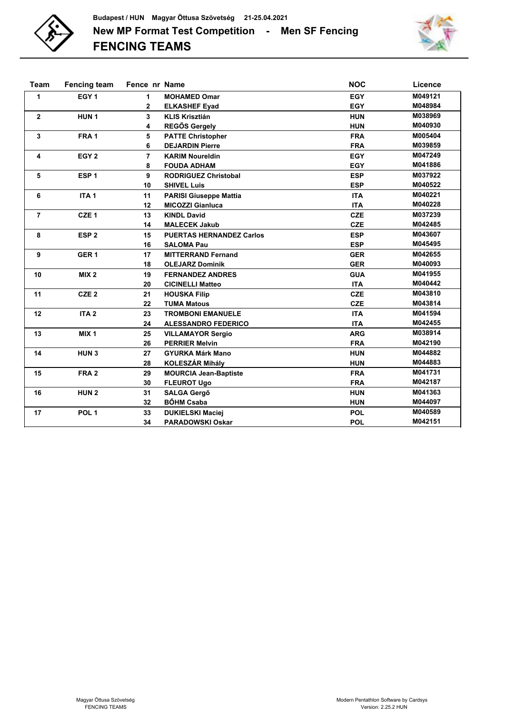



| <b>Team</b>    | <b>Fencing team</b> | Fence nr Name  |                                 | <b>NOC</b> | Licence |
|----------------|---------------------|----------------|---------------------------------|------------|---------|
| 1              | EGY <sub>1</sub>    | 1              | <b>MOHAMED Omar</b>             | <b>EGY</b> | M049121 |
|                |                     | 2              | <b>ELKASHEF Eyad</b>            | <b>EGY</b> | M048984 |
| $\mathbf{2}$   | HUN <sub>1</sub>    | 3              | <b>KLIS Krisztián</b>           | <b>HUN</b> | M038969 |
|                |                     | 4              | <b>REGŐS Gergely</b>            | <b>HUN</b> | M040930 |
| 3              | FRA <sub>1</sub>    | 5              | <b>PATTE Christopher</b>        | <b>FRA</b> | M005404 |
|                |                     | 6              | <b>DEJARDIN Pierre</b>          | <b>FRA</b> | M039859 |
| 4              | EGY <sub>2</sub>    | $\overline{7}$ | <b>KARIM Noureldin</b>          | <b>EGY</b> | M047249 |
|                |                     | 8              | <b>FOUDA ADHAM</b>              | <b>EGY</b> | M041886 |
| 5              | ESP <sub>1</sub>    | 9              | <b>RODRIGUEZ Christobal</b>     | <b>ESP</b> | M037922 |
|                |                     | 10             | <b>SHIVEL Luis</b>              | <b>ESP</b> | M040522 |
| 6              | ITA <sub>1</sub>    | 11             | <b>PARISI Giuseppe Mattia</b>   | <b>ITA</b> | M040221 |
|                |                     | 12             | <b>MICOZZI Gianluca</b>         | <b>ITA</b> | M040228 |
| $\overline{7}$ | CZE <sub>1</sub>    | 13             | <b>KINDL David</b>              | <b>CZE</b> | M037239 |
|                |                     | 14             | <b>MALECEK Jakub</b>            | <b>CZE</b> | M042485 |
| 8              | ESP <sub>2</sub>    | 15             | <b>PUERTAS HERNANDEZ Carlos</b> | <b>ESP</b> | M043607 |
|                |                     | 16             | <b>SALOMA Pau</b>               | <b>ESP</b> | M045495 |
| 9              | GER <sub>1</sub>    | 17             | <b>MITTERRAND Fernand</b>       | <b>GER</b> | M042655 |
|                |                     | 18             | <b>OLEJARZ Dominik</b>          | <b>GER</b> | M040093 |
| 10             | MIX <sub>2</sub>    | 19             | <b>FERNANDEZ ANDRES</b>         | <b>GUA</b> | M041955 |
|                |                     | 20             | <b>CICINELLI Matteo</b>         | <b>ITA</b> | M040442 |
| 11             | CZE <sub>2</sub>    | 21             | <b>HOUSKA Filip</b>             | <b>CZE</b> | M043810 |
|                |                     | 22             | <b>TUMA Matous</b>              | <b>CZE</b> | M043814 |
| 12             | ITA <sub>2</sub>    | 23             | <b>TROMBONI EMANUELE</b>        | <b>ITA</b> | M041594 |
|                |                     | 24             | <b>ALESSANDRO FEDERICO</b>      | <b>ITA</b> | M042455 |
| 13             | MIX <sub>1</sub>    | 25             | <b>VILLAMAYOR Sergio</b>        | <b>ARG</b> | M038914 |
|                |                     | 26             | <b>PERRIER Melvin</b>           | <b>FRA</b> | M042190 |
| 14             | HUN <sub>3</sub>    | 27             | <b>GYURKA Márk Mano</b>         | <b>HUN</b> | M044882 |
|                |                     | 28             | <b>KOLESZÁR Mihály</b>          | <b>HUN</b> | M044883 |
| 15             | FRA <sub>2</sub>    | 29             | <b>MOURCIA Jean-Baptiste</b>    | <b>FRA</b> | M041731 |
|                |                     | 30             | <b>FLEUROT Ugo</b>              | <b>FRA</b> | M042187 |
| 16             | HUN <sub>2</sub>    | 31             | <b>SALGA Gergő</b>              | <b>HUN</b> | M041363 |
|                |                     | 32             | <b>BŐHM Csaba</b>               | <b>HUN</b> | M044097 |
| 17             | POL <sub>1</sub>    | 33             | <b>DUKIELSKI Maciej</b>         | <b>POL</b> | M040589 |
|                |                     | 34             | <b>PARADOWSKI Oskar</b>         | <b>POL</b> | M042151 |